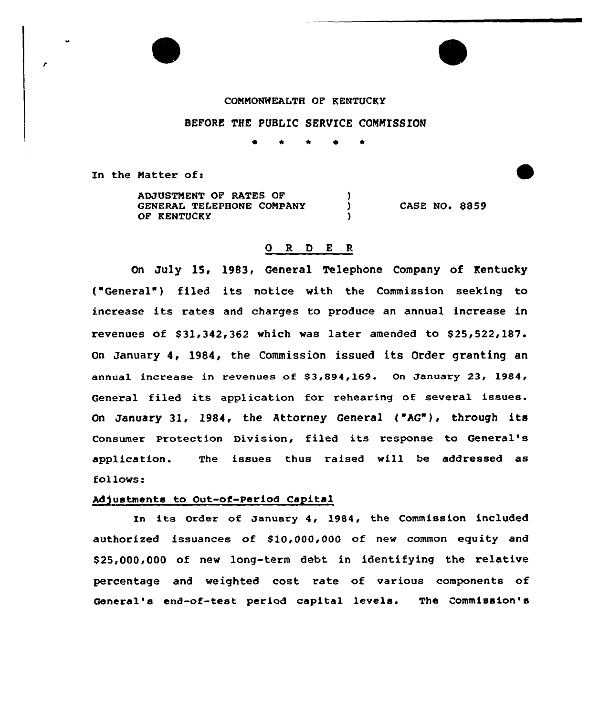#### COMMONWEALTH OF KENTUCKY

### BEFORE THE PUBLIC SERVICE CONNISSIOM

~ \* \* <sup>~</sup> <sup>R</sup>

In the Matter of:

ADJUSTMENT OF BATES OF <sup>1</sup> GENERAL TELEPHONE COMPANY  $\mathbf{L}$ CASE NO. 8859 OF KENTUCKY A

# 0 R 0 <sup>E</sup> <sup>R</sup>

On July 15, l983, General Telephone Company of Kentucky ('eneral" ) filed its notice with the Commission seeking to increase its rates and charges to produce an annual increase in revenues of  $$31,342,362$  which was later amended to  $$25,522,187$ . On January 4, 1984, the Commission issued its Order granting an annual increase in revenues of  $$3,894,169$ . On January 23, 1984, General filed its application for rehearing of several issues. On January 31, 1984, the Attorney General ("AG"), through its Consumer Protection Division, filed its response to General' application. The issues thus raised will be addressed as follows:

#### Adjustments to Out-of-Period Capital

In its Order of January 4, 1984, the Commission included authorized issuances of \$10,000,000 of new common equity and \$25,000,000 of new long-term debt in identifying the relative percentage and weighted cost rate of various components of General's end-of-test perjod capital levels. The Commission's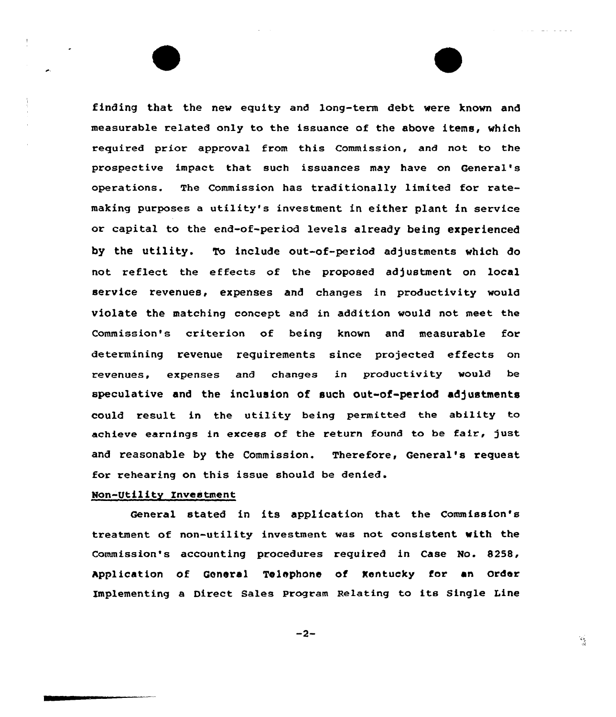finding that the new equity and long-term debt were known and measurable related anly to the issuance of the above items, which required prior approval from this Commission, and not to the prospective impact that such issuances may have on General' operations. The Commission has traditionally limited tor ratemaking purposes a utility's investment in either plant in service or capital to the end-of-period levels already being experienced by the utility. To include out-of-period adjustments which do not reflect the effects of the proposed adjustment on local service revenues, expenses and changes in productivity would violate the matching concept and in addition would not meet the Commission's criterion of being known and measurable for determining revenue requirements since projected effects on revenues, expenses and changes in productivity would be speculative and the inclusion of such out-of-period adjustments could result in the utility being permitted the ability to achieve earnings in excess of the return found to be fair, just and reasonable by the Commission. Therefore, General's request for rehearing on this issue shauld be denied.

### Man-Utility Investment

General stated in its application that the Commission's treatment of non-utility investment was not consistent with the Commission's accounting procedures required in Case No. 8258, Application of General Telephone of Kentucky for an order Implementing a Direct Sales Program Relating to its Single Line

$$
-2-
$$

 $\frac{1}{2}$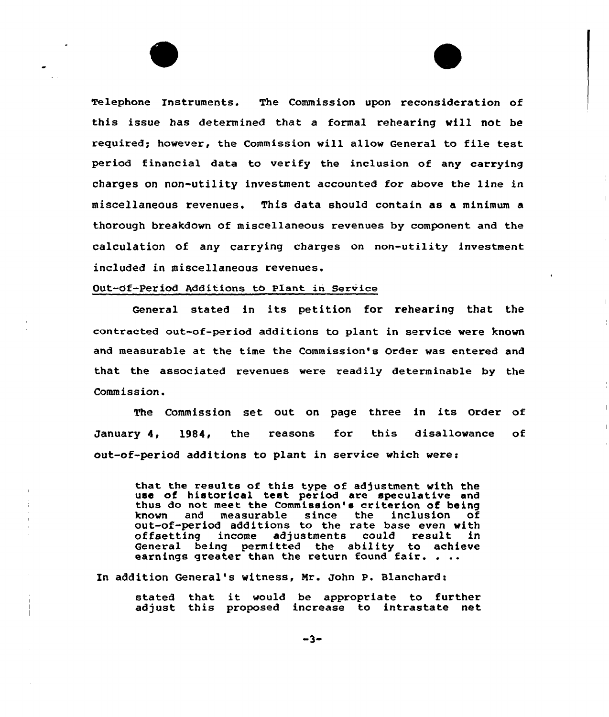Telephone Instruments. The Commission upon reconsideration of this issue has determined that a formal rehearing vill not be required; however, the Commission will allow General to file test period financial data to verify the inclusion of any carrying charges on non-utility investment accounted for above the line in miscellaneous revenues. This data should contain as a minimum a thorough breakdown of miscellaneous revenues by component and the calculation of any carrying charges on non-utility investment included in miscellaneous revenues.

#### Out-Of-Period Additions to Plant in Service

General stated in its petition for rehearing that the contracted out-of-period additions to plant in service vere known and measurable at the time the Commission's Order vas entered and that the associated revenues vere readily determinable by the Commission.

The Commission set out on page three in its Order of January 4, 1984, the reasons for this disallovance of out-of-period additions to plant in service which were:

that the results of this type of adjustment with the use of historical test period are speculative and thus do not meet the Commission's criterion of being measurable since the inclusion of out-of-period additions to the rate base even with offsetting income adjustments could result in General being permitted the ability to achieve earnings greater than the return found fair. . ..

In addition General's witness, Mr. John P. Blanchard:

stated that it would be appropriate to further adjust this proposed increase to intrastate net

 $-3-$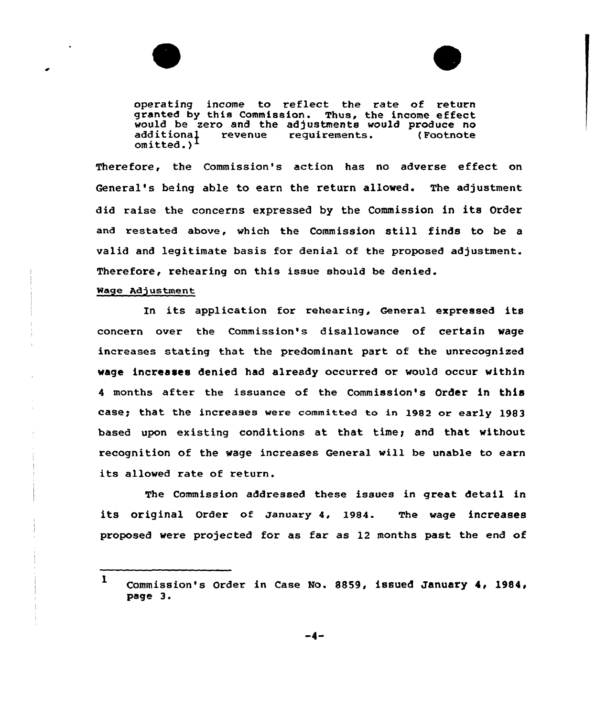



operating income to reflect the rate of return granted by this Commission. Thus, the income effect would be zero and the adjustments would produce no<br>additional revenue requirements. (Footnote requirements. omitted. )

Therefore, the Commission's action has no adverse effeet on General's being able to earn the return allowed. The adjustment did raise the concerns expressed by the Commission in its Order and restated above, which the Commission still finds to be <sup>a</sup> valid and legitimate basis for denial of the proposed adjustment. Therefore, rehearing on this issue should be denied.

#### Mage Adjustment

In its application for rehearing, General expressed its concern over the Commission's disallowance of certain wage increases stating that the predominant part of the unrecognized wage increases denied had already occurred or would occur within <sup>4</sup> months after the issuance of the Commission's Order in this casey that the increases were cammitted ta in 1982 or early 1983 based upon existing conditions at that. timey and that without recognition of the wage increases General will be unable to earn its allowed rate of return.

The Commission addressed these issues in great detail in its original order of January 4, 1984. The wage increases proposed were projected for as far as 12 months past the end of

 $\mathbf{1}$ Commission's Order in Case No. 8859, issued January 4, 1984, page 3.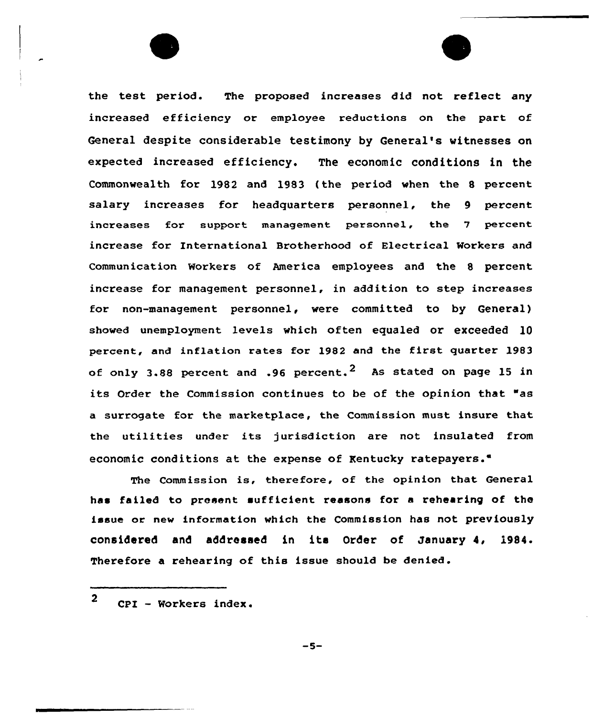the test period. The proposed increases did not reflect any increased efficiency or employee reductions on the part of General despite considerable testimony by General's witnesses on expected increased efficiency. The economic conditions in the Commonvealth for 1982 and 1983 (the period when the 8 percent salary increases for headquarters personnel, the 9 percent increases for support management personnel, the 7 percent incx'ease for International Brotherhood of Electrical Workers and Communication Workers of America employees and the 8 percent increase for management personnel, in addition to step increases for non-management personnel, were committed to by General) showed unemployment levels which often equaled or exceeded 10 percent, and inflation rates for 1982 and the first quarter 1983 of only 3.88 percent and .96 percent.<sup>2</sup> As stated on page 15 in its Order the Commission continues to be of the opinion that "as a suxrogate for the max ketplace, the Commission must insure that the utilities under its jurisdiction are not insulated from economic conditions at the expense of Kentucky ratepayers."

The Commission is, therefore, of the opinion that General has failed to present sufficient reasons for a rehearing of the issue or new information which the Commission has not previously considered and addressed in its Order of January 4, 1984. Therefore a rehearing of this issue should be denied.

 $-5-$ 

 $2$  CPI - Workers index.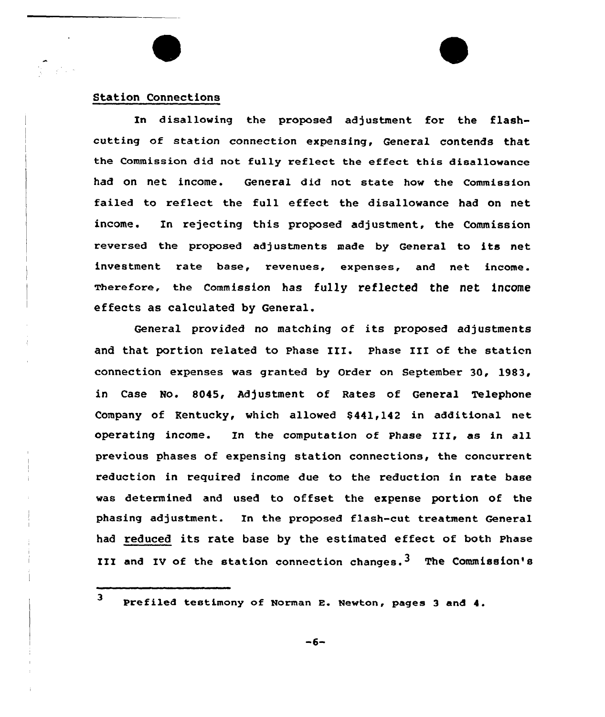## Station Connections

 $\mathcal{L}_{\text{max}}$ 

In disallowing the proposed adjustment for the flashcutting of station connection expensing, General contends that the Commission did not fully reflect the effect this disallowance had on net income. General did not state how the Commission failed to reflect the full effect the disallowance had on net income. In rejecting this proposed adjustment, the Commission reversed the proposed adjustments made by General to its net investment rate base, revenues, expenses, and net income. Tberefore, the Commission has fully reflected the net income effects as calculated by General.

General provided no matching of its proposed adjustments and that portion related to phase III. phase III of the station connection expenses was granted by Order on September 30, 1983, in Case No. 8045, Adjustment of Rates of General Telephone Company of Kentucky, which allowed \$ 441,142 in additional net operating income. Zn the computation of phase III, as in all previous phases of expensing station connections, the concurrent reduction in required income due to the reduction in rate base was determined and used to offset the expense portion of the phasing adjustment. In the proposed flash-cut treatment General had reduced its rate base by the estimated effect of both Phase III and IV of the station connection changes.<sup>3</sup> The Commission's

3 Prefiled testimony of Norman E. Newton, pages 3 and 4.

 $-6-$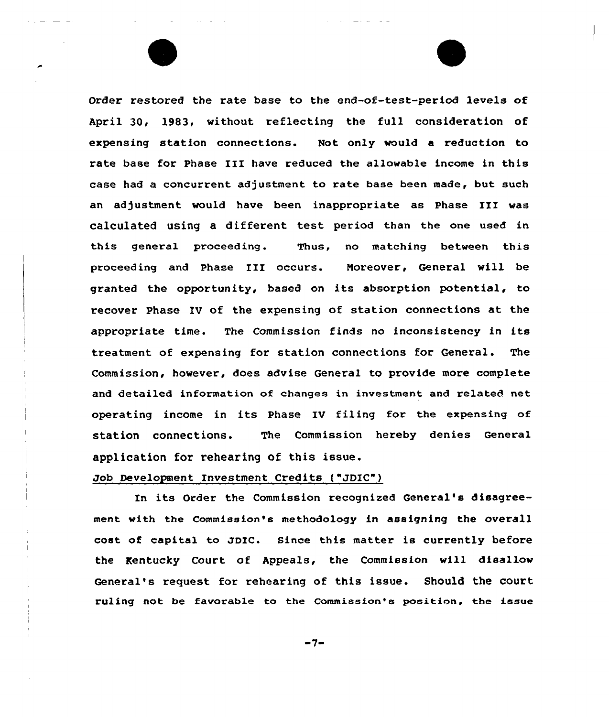Order restored the rate base to the end-of-test-period levels of April 30, 1983, without reflecting the full consideration of expensing station connections. Not only would a reduction to rate base for Phase III have reduced the allowable income in this case had a concurrent adjustment to rate base been made, but such an adjustment would have been inappropriate as Phase III was calculated using a different test period than the one used in this general proceeding. Thus, no matching between this proceeding and Phase III occurs. Noreover, General will be granted the opportunity, based on its absorption potential, to recover Phase IV of the expensing of station connections at the appropriate time. The Commission finds no inconsistency in its treatment of expensing for station connections for General. The Commission, however, does advise General to provide more complete and detailed information of changes in investment and related net operating income in its Phase IV filing for the expensing of station connections. The Commission hereby denies General application for rehearing of this issue.

## Job Development Investment Credits ("JDIC")

In its Order the Commission recognized General's disagreement with the commission's methodology in assigning the overall cost of capital to JDIC. Since this matter is currently before the Kentucky Court of Appeals, the Commission will disallow General's request for rehearing of this issue. Should the court ruling not be favorable to the Commission's position, the issue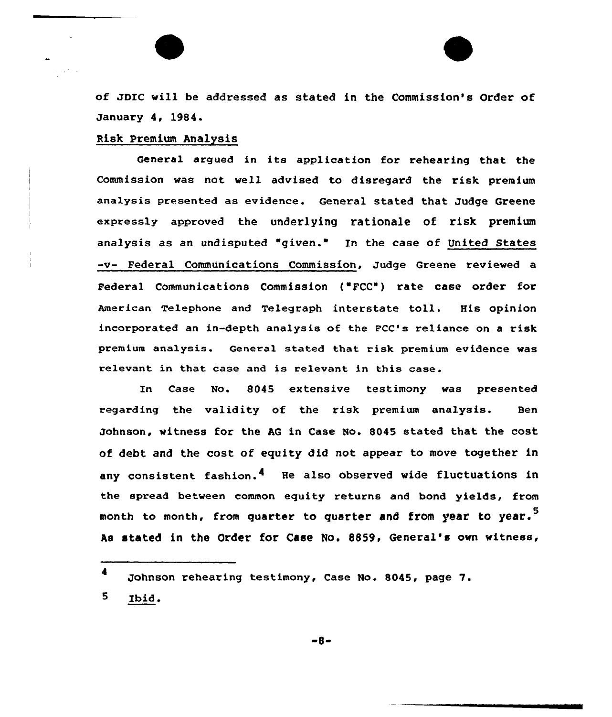of JDIC will be addressed as stated in the Commission's Order of January 4, 1984.

### Risk Premium Analysis

General argued in its application for rehearing that the Commission was not well advised to disregard the risk premium analysis presented as evidence. General stated that Judge Greene expressly approved the underlying rationale of risk premium analysis as an undisputed "given." In the case of United States -v- Federal Communications Commission, Judge Greene reviewed a Federal Communications Commission {'FCC") rate case order for American Telephone and Telegraph interstate toll. His opinion incorporated an in-depth analysis of the FCC's reliance on a risk premium analysis. General stated that risk premium evidence was relevant in that case and is relevant in this case.

In Case No. 8045 extensive testimony was presented regarding the validity of the risk premium analysis. Ben Johnson, witness for the AG in Case No. 8045 stated that the cost of debt and the cost of equity did not appear to move together in any consistent fashion.4 He also observed wide fluctuations in the spread between common equity returns and bond yields, from month to month, from quarter to quarter and from year to year.<sup>5</sup> As stated in the Order for Case No. 8859, General's own witness,

-8-

<sup>4</sup> Johnson rehearing testimony, Case No. 8045, page 7.

<sup>5</sup> Ibid.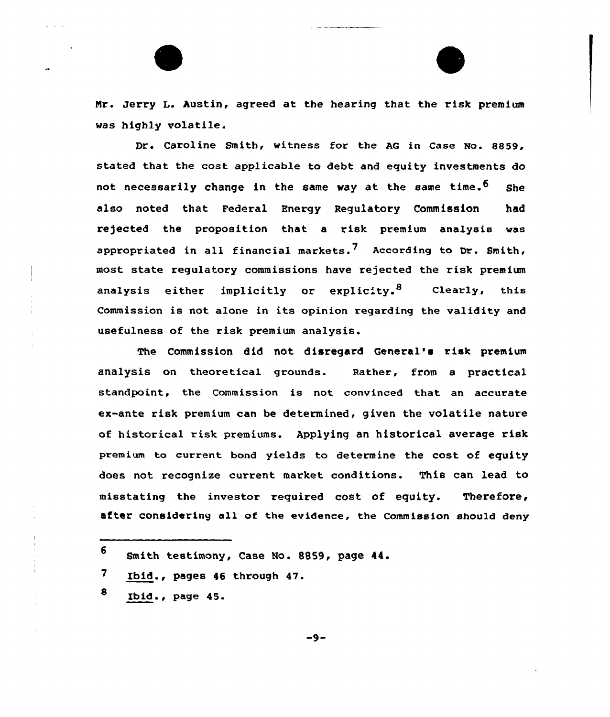Mr. Jerry L. Austin, agreed at the hearing that the risk premium was highly volatile.

Dr. Caroline Smith, witness for the AG in Case No. 8859, stated that the cost applicable to debt and equity investments do not necessarily change in the same way at the same time.<sup>6</sup> She also noted that Federal Energy Regulatory Commission had rejected the proposition that a risk premium analysis was appropriated in all financial markets.<sup>7</sup> According to Dr. Smith, most state regulatory commissions have rejected the risk premium analysis either implicitly or explicity.<sup>8</sup> Clearly, this Commission is not alone in its opinion regarding the validity and usefulness of the risk premium analysis.

The Commission did not disregard General's risk premium analysis on theoretical grounds. Rather, from a practical standpoint, the Commission is not convinced that an accurate ex-ante risk premium can be determined, given the volatile nature of historical risk premiums. Applying an historical average risk premium to current bond yields to determine the cost of equity does not recognise current market conditions. This can lead to misstating the investor required cost of equity. Therefore, after considering all of the evidence, the Commission should deny

- $\overline{\mathbf{7}}$ Ibid., pages <sup>46</sup> through 47.
- $8$  Ibid., page 45.

 $-9-$ 

<sup>6</sup> Smith testimony, Case No. 8859, page 44.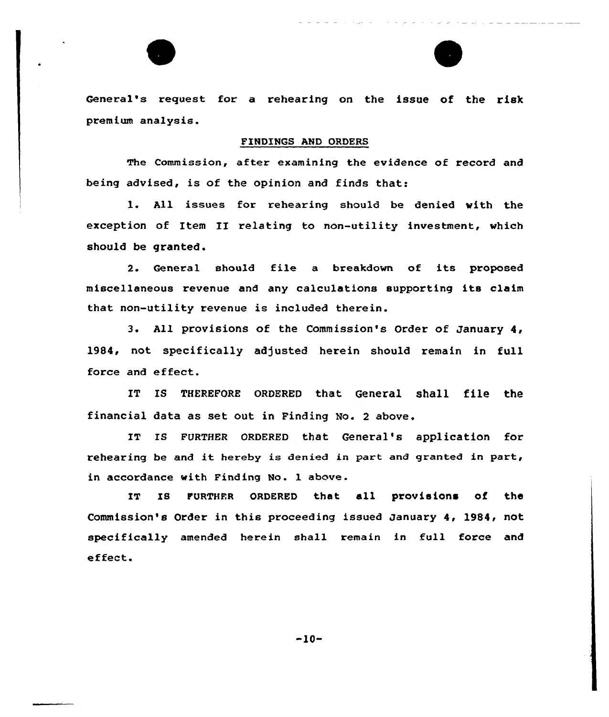General's request for a rehearing on the issue of the risk premium analysis.

## FINDINGS AND ORDERS

The Commission, after examining the evidence of record and being advised, is of the opinion and finds that:

l. All issues for rehearing should be denied with the exception of Item II relating to non-utility investment, which should be granted.

2. General should file a breakdown of its proposed miscellaneous revenue and any calculations supporting its claim that non-utility revenue is included therein.

3. All provisions of the Commission's Order of January 4, 1984, not specifically adjusted herein should remain in full force and effect.

IT IS THEREFORE ORDERED that General shall file the financial data as set out in Finding No. <sup>2</sup> above.

IT IS FURTHER ORDERED that General's application for rehearing be and it hereby is denied in part and granted in part, in accordance with Finding No. 1 above.

IT IS FURTHFR ORDERED that all provisions of the Commission's Order in this proceeding issued January 4, 1984, not specifically amended herein shall remain in full force and effect.

 $-10-$